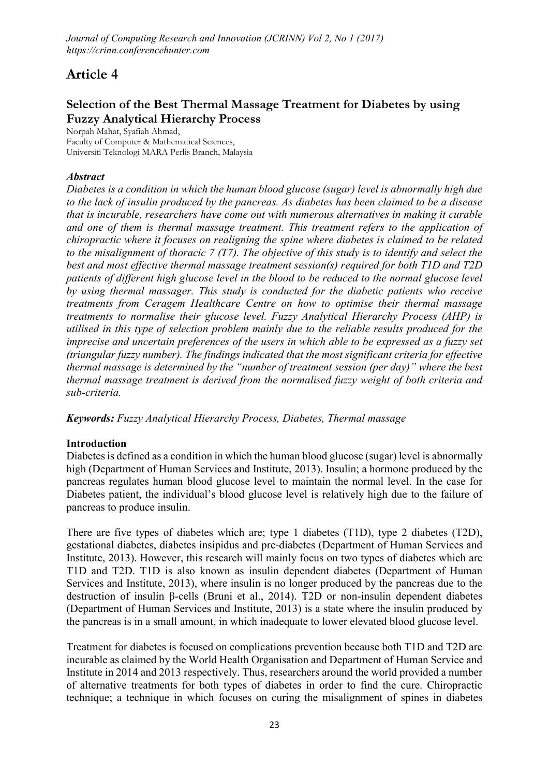# Article 4

# Selection of the Best Thermal Massage Treatment for Diabetes by using Fuzzy Analytical Hierarchy Process

**Norpah Mahat, Syafiah Ahmad, Faculty of Computer & Mathematical Sciences, Universiti Teknologi MARA Perlis Branch, Malaysia**

# *Abstract*

*Diabetes is a condition in which the human blood glucose (sugar) level is abnormally high due to the lack of insulin produced by the pancreas. As diabetes has been claimed to be a disease that is incurable, researchers have come out with numerous alternatives in making it curable and one of them is thermal massage treatment. This treatment refers to the application of chiropractic where it focuses on realigning the spine where diabetes is claimed to be related to the misalignment of thoracic 7 (T7). The objective of this study is to identify and select the best and most effective thermal massage treatment session(s) required for both T1D and T2D patients of different high glucose level in the blood to be reduced to the normal glucose level by using thermal massager. This study is conducted for the diabetic patients who receive treatments from Ceragem Healthcare Centre on how to optimise their thermal massage treatments to normalise their glucose level. Fuzzy Analytical Hierarchy Process (AHP) is utilised in this type of selection problem mainly due to the reliable results produced for the imprecise and uncertain preferences of the users in which able to be expressed as a fuzzy set (triangular fuzzy number). The findings indicated that the most significant criteria for effective thermal massage is determined by the "number of treatment session (per day)" where the best thermal massage treatment is derived from the normalised fuzzy weight of both criteria and sub-criteria.*

*Keywords: Fuzzy Analytical Hierarchy Process, Diabetes, Thermal massage*

# Introduction

Diabetes is defined as a condition in which the human blood glucose (sugar) level is abnormally high (Department of Human Services and Institute, 2013). Insulin; a hormone produced by the pancreas regulates human blood glucose level to maintain the normal level. In the case for Diabetes patient, the individual's blood glucose level is relatively high due to the failure of pancreas to produce insulin.

There are five types of diabetes which are; type 1 diabetes (T1D), type 2 diabetes (T2D), gestational diabetes, diabetes insipidus and pre-diabetes (Department of Human Services and Institute, 2013). However, this research will mainly focus on two types of diabetes which are T1D and T2D. T1D is also known as insulin dependent diabetes (Department of Human Services and Institute, 2013), where insulin is no longer produced by the pancreas due to the destruction of insulin β-cells (Bruni et al., 2014). T2D or non-insulin dependent diabetes (Department of Human Services and Institute, 2013) is a state where the insulin produced by the pancreas is in a small amount, in which inadequate to lower elevated blood glucose level.

Treatment for diabetes is focused on complications prevention because both T1D and T2D are incurable as claimed by the World Health Organisation and Department of Human Service and Institute in 2014 and 2013 respectively. Thus, researchers around the world provided a number of alternative treatments for both types of diabetes in order to find the cure. Chiropractic technique; a technique in which focuses on curing the misalignment of spines in diabetes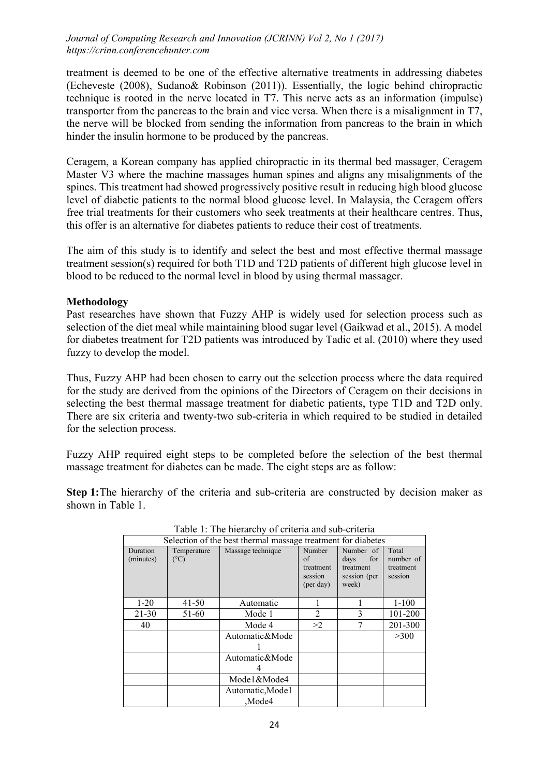treatment is deemed to be one of the effective alternative treatments in addressing diabetes (Echeveste (2008), Sudano& Robinson (2011)). Essentially, the logic behind chiropractic technique is rooted in the nerve located in T7. This nerve acts as an information (impulse) transporter from the pancreas to the brain and vice versa. When there is a misalignment in T7, the nerve will be blocked from sending the information from pancreas to the brain in which hinder the insulin hormone to be produced by the pancreas.

Ceragem, a Korean company has applied chiropractic in its thermal bed massager, Ceragem Master V3 where the machine massages human spines and aligns any misalignments of the spines. This treatment had showed progressively positive result in reducing high blood glucose level of diabetic patients to the normal blood glucose level. In Malaysia, the Ceragem offers free trial treatments for their customers who seek treatments at their healthcare centres. Thus, this offer is an alternative for diabetes patients to reduce their cost of treatments.

The aim of this study is to identify and select the best and most effective thermal massage treatment session(s) required for both T1D and T2D patients of different high glucose level in blood to be reduced to the normal level in blood by using thermal massager.

# Methodology

Past researches have shown that Fuzzy AHP is widely used for selection process such as selection of the diet meal while maintaining blood sugar level (Gaikwad et al., 2015). A model for diabetes treatment for T2D patients was introduced by Tadic et al. (2010) where they used fuzzy to develop the model.

Thus, Fuzzy AHP had been chosen to carry out the selection process where the data required for the study are derived from the opinions of the Directors of Ceragem on their decisions in selecting the best thermal massage treatment for diabetic patients, type T1D and T2D only. There are six criteria and twenty-two sub-criteria in which required to be studied in detailed for the selection process.

Fuzzy AHP required eight steps to be completed before the selection of the best thermal massage treatment for diabetes can be made. The eight steps are as follow:

Step 1: The hierarchy of the criteria and sub-criteria are constructed by decision maker as shown in Table 1.

| Selection of the best thermal massage treatment for diabetes |                              |                   |                                                   |                                                                |                                            |  |  |  |
|--------------------------------------------------------------|------------------------------|-------------------|---------------------------------------------------|----------------------------------------------------------------|--------------------------------------------|--|--|--|
| Duration<br>(minutes)                                        | Temperature<br>$(^{\circ}C)$ | Massage technique | Number<br>of<br>treatment<br>session<br>(per day) | Number of<br>for<br>days<br>treatment<br>session (per<br>week) | Total<br>number of<br>treatment<br>session |  |  |  |
| $1 - 20$                                                     | $41 - 50$                    | Automatic         |                                                   |                                                                | $1 - 100$                                  |  |  |  |
| $21 - 30$                                                    | 51-60                        | Mode 1            | 2                                                 | 3                                                              | 101-200                                    |  |  |  |
| 40                                                           |                              | Mode 4            | >2                                                |                                                                | 201-300                                    |  |  |  |
|                                                              |                              | Automatic&Mode    |                                                   |                                                                | >300                                       |  |  |  |
|                                                              |                              |                   |                                                   |                                                                |                                            |  |  |  |
|                                                              |                              | Automatic&Mode    |                                                   |                                                                |                                            |  |  |  |
|                                                              |                              |                   |                                                   |                                                                |                                            |  |  |  |
|                                                              |                              | Mode1&Mode4       |                                                   |                                                                |                                            |  |  |  |
|                                                              |                              | Automatic, Mode 1 |                                                   |                                                                |                                            |  |  |  |
|                                                              |                              | Mode4             |                                                   |                                                                |                                            |  |  |  |

Table 1: The hierarchy of criteria and sub-criteria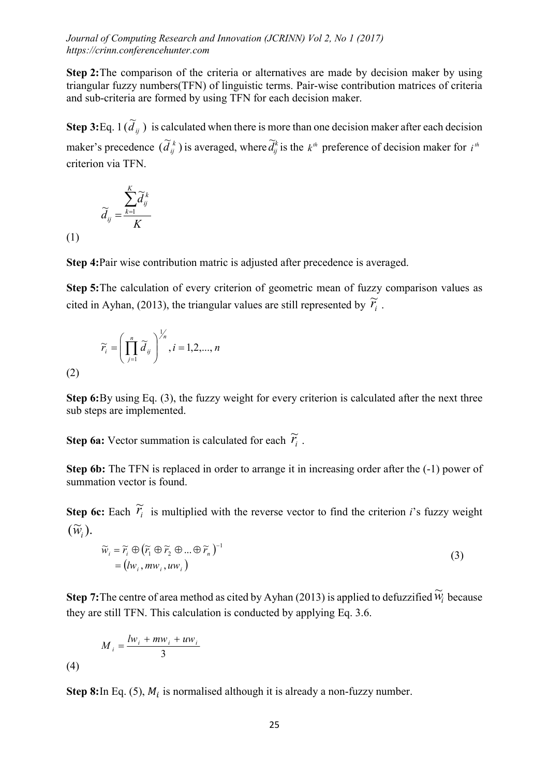Step 2: The comparison of the criteria or alternatives are made by decision maker by using triangular fuzzy numbers(TFN) of linguistic terms. Pair-wise contribution matrices of criteria and sub-criteria are formed by using TFN for each decision maker.

**Step 3:** Eq. 1  $(\tilde{d}_{ij})$  is calculated when there is more than one decision maker after each decision maker's precedence  $(\tilde{d}_{ij}^k)$  is averaged, where  $\tilde{d}_{ij}^k$  is the  $k^h$  preference of decision maker for  $i^h$ criterion via TFN.

$$
\widetilde{d}_{ij} = \frac{\sum_{k=1}^{K} \widetilde{d}_{ij}^{k}}{K}
$$

(1)

(2)

Step 4:Pair wise contribution matric is adjusted after precedence is averaged.

Step 5:The calculation of every criterion of geometric mean of fuzzy comparison values as cited in Ayhan, (2013), the triangular values are still represented by  $\tilde{r}_i$ .

$$
\widetilde{r}_i = \left(\prod_{j=1}^n \widetilde{d}_{ij}\right)^{\frac{1}{n}}, i = 1, 2, ..., n
$$

Step 6:By using Eq. (3), the fuzzy weight for every criterion is calculated after the next three sub steps are implemented.

**Step 6a:** Vector summation is calculated for each  $\widetilde{r}_i$ .

Step 6b: The TFN is replaced in order to arrange it in increasing order after the (-1) power of summation vector is found.

**Step 6c:** Each  $\widetilde{r}_i$  is multiplied with the reverse vector to find the criterion *i*'s fuzzy weight  $(\widetilde{w}_i)$ .

$$
\widetilde{w}_i = \widetilde{r}_i \oplus (\widetilde{r}_1 \oplus \widetilde{r}_2 \oplus \dots \oplus \widetilde{r}_n)^{-1} = (lw_i, mw_i, uw_i)
$$
\n(3)

**Step 7:** The centre of area method as cited by Ayhan (2013) is applied to defuzzified  $\widetilde{W}_i$  because they are still TFN. This calculation is conducted by applying Eq. 3.6.

$$
M_i = \frac{lw_i + mw_i + uw_i}{3}
$$
\n<sup>(4)</sup>

Step 8:In Eq. (5),  $M_i$  is normalised although it is already a non-fuzzy number.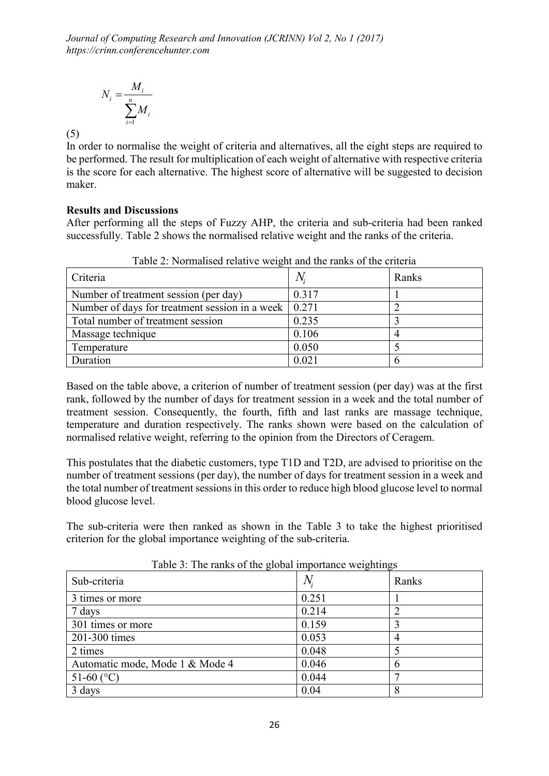$$
N_i = \frac{M_i}{\sum_{i=1}^n M_i}
$$

(5)

In order to normalise the weight of criteria and alternatives, all the eight steps are required to be performed. The result for multiplication of each weight of alternative with respective criteria is the score for each alternative. The highest score of alternative will be suggested to decision maker.

# Results and Discussions

After performing all the steps of Fuzzy AHP, the criteria and sub-criteria had been ranked successfully. Table 2 shows the normalised relative weight and the ranks of the criteria.

| Criteria                                                             |       | Ranks |
|----------------------------------------------------------------------|-------|-------|
| Number of treatment session (per day)                                | 0.317 |       |
| Number of days for treatment session in a week $\vert 0.271 \rangle$ |       |       |
| Total number of treatment session                                    | 0.235 |       |
| Massage technique                                                    | 0.106 |       |
| Temperature                                                          | 0.050 |       |
| Duration                                                             | 0.021 |       |

Table 2: Normalised relative weight and the ranks of the criteria

Based on the table above, a criterion of number of treatment session (per day) was at the first rank, followed by the number of days for treatment session in a week and the total number of treatment session. Consequently, the fourth, fifth and last ranks are massage technique, temperature and duration respectively. The ranks shown were based on the calculation of normalised relative weight, referring to the opinion from the Directors of Ceragem.

This postulates that the diabetic customers, type T1D and T2D, are advised to prioritise on the number of treatment sessions (per day), the number of days for treatment session in a week and the total number of treatment sessions in this order to reduce high blood glucose level to normal blood glucose level.

The sub-criteria were then ranked as shown in the Table 3 to take the highest prioritised criterion for the global importance weighting of the sub-criteria.

| ------                          |       |       |
|---------------------------------|-------|-------|
| Sub-criteria                    |       | Ranks |
| 3 times or more                 | 0.251 |       |
| 7 days                          | 0.214 |       |
| 301 times or more               | 0.159 |       |
| 201-300 times                   | 0.053 |       |
| 2 times                         | 0.048 |       |
| Automatic mode, Mode 1 & Mode 4 | 0.046 | h     |
| 51-60 $(C)$                     | 0.044 |       |
| 3 days                          | 0.04  |       |

Table 3: The ranks of the global importance weightings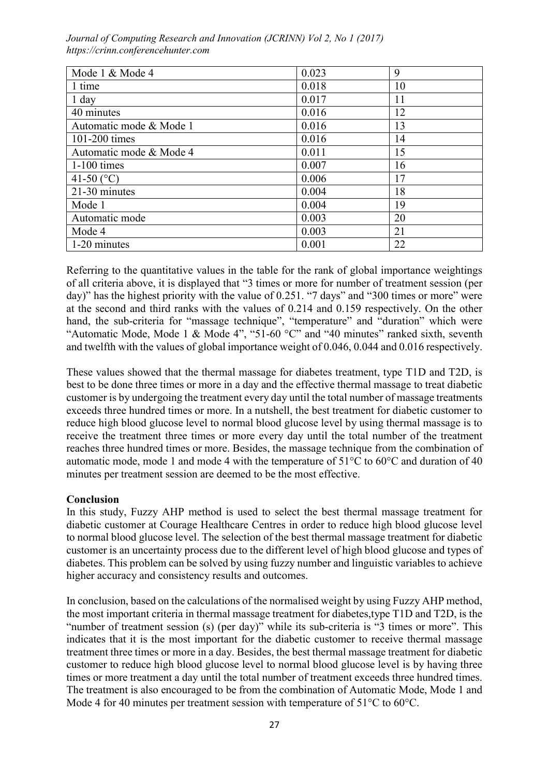| Mode 1 & Mode 4         | 0.023 | 9  |
|-------------------------|-------|----|
| 1 time                  | 0.018 | 10 |
| 1 day                   | 0.017 | 11 |
| 40 minutes              | 0.016 | 12 |
| Automatic mode & Mode 1 | 0.016 | 13 |
| 101-200 times           | 0.016 | 14 |
| Automatic mode & Mode 4 | 0.011 | 15 |
| $1-100$ times           | 0.007 | 16 |
| 41-50 $(C)$             | 0.006 | 17 |
| 21-30 minutes           | 0.004 | 18 |
| Mode 1                  | 0.004 | 19 |
| Automatic mode          | 0.003 | 20 |
| Mode 4                  | 0.003 | 21 |
| 1-20 minutes            | 0.001 | 22 |

Referring to the quantitative values in the table for the rank of global importance weightings of all criteria above, it is displayed that "3 times or more for number of treatment session (per day)" has the highest priority with the value of 0.251. "7 days" and "300 times or more" were at the second and third ranks with the values of 0.214 and 0.159 respectively. On the other hand, the sub-criteria for "massage technique", "temperature" and "duration" which were "Automatic Mode, Mode 1 & Mode 4", "51-60  $^{\circ}$ C" and "40 minutes" ranked sixth, seventh and twelfth with the values of global importance weight of 0.046, 0.044 and 0.016 respectively.

These values showed that the thermal massage for diabetes treatment, type T1D and T2D, is best to be done three times or more in a day and the effective thermal massage to treat diabetic customer is by undergoing the treatment every day until the total number of massage treatments exceeds three hundred times or more. In a nutshell, the best treatment for diabetic customer to reduce high blood glucose level to normal blood glucose level by using thermal massage is to receive the treatment three times or more every day until the total number of the treatment reaches three hundred times or more. Besides, the massage technique from the combination of automatic mode, mode 1 and mode 4 with the temperature of 51°C to 60°C and duration of 40 minutes per treatment session are deemed to be the most effective.

# Conclusion

In this study, Fuzzy AHP method is used to select the best thermal massage treatment for diabetic customer at Courage Healthcare Centres in order to reduce high blood glucose level to normal blood glucose level. The selection of the best thermal massage treatment for diabetic customer is an uncertainty process due to the different level of high blood glucose and types of diabetes. This problem can be solved by using fuzzy number and linguistic variables to achieve higher accuracy and consistency results and outcomes.

In conclusion, based on the calculations of the normalised weight by using Fuzzy AHP method, the most important criteria in thermal massage treatment for diabetes,type T1D and T2D, is the "number of treatment session (s) (per day)" while its sub-criteria is "3 times or more". This indicates that it is the most important for the diabetic customer to receive thermal massage treatment three times or more in a day. Besides, the best thermal massage treatment for diabetic customer to reduce high blood glucose level to normal blood glucose level is by having three times or more treatment a day until the total number of treatment exceeds three hundred times. The treatment is also encouraged to be from the combination of Automatic Mode, Mode 1 and Mode 4 for 40 minutes per treatment session with temperature of 51<sup>o</sup>C to 60<sup>o</sup>C.